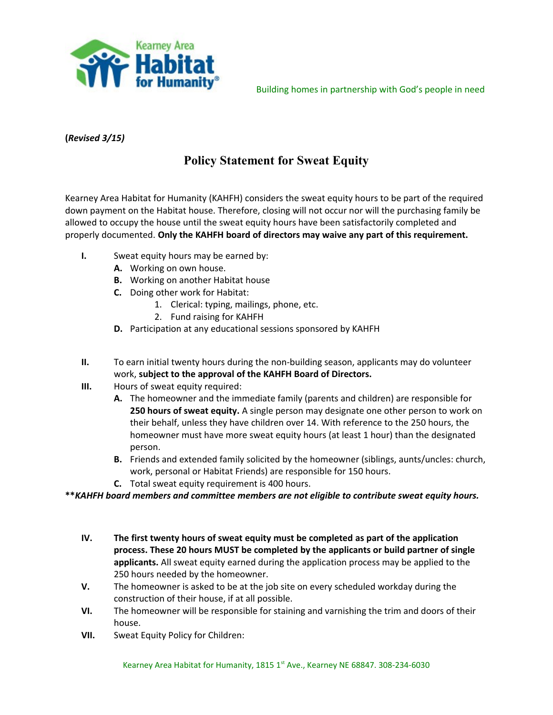

Building homes in partnership with God's people in need

## **(***Revised 3/15)*

## **Policy Statement for Sweat Equity**

Kearney Area Habitat for Humanity (KAHFH) considers the sweat equity hours to be part of the required down payment on the Habitat house. Therefore, closing will not occur nor will the purchasing family be allowed to occupy the house until the sweat equity hours have been satisfactorily completed and properly documented. **Only the KAHFH board of directors may waive any part of this requirement.**

- **I.** Sweat equity hours may be earned by:
	- **A.** Working on own house.
	- **B.** Working on another Habitat house
	- **C.** Doing other work for Habitat:
		- 1. Clerical: typing, mailings, phone, etc.
		- 2. Fund raising for KAHFH
	- **D.** Participation at any educational sessions sponsored by KAHFH
- **II.** To earn initial twenty hours during the non-building season, applicants may do volunteer work, **subject to the approval of the KAHFH Board of Directors.**
- **III.** Hours of sweat equity required:
	- **A.** The homeowner and the immediate family (parents and children) are responsible for **250 hours of sweat equity.** A single person may designate one other person to work on their behalf, unless they have children over 14. With reference to the 250 hours, the homeowner must have more sweat equity hours (at least 1 hour) than the designated person.
	- **B.** Friends and extended family solicited by the homeowner (siblings, aunts/uncles: church, work, personal or Habitat Friends) are responsible for 150 hours.
	- **C.** Total sweat equity requirement is 400 hours.

**\*\****KAHFH board members and committee members are not eligible to contribute sweat equity hours.*

- **IV. The first twenty hours of sweat equity must be completed as part of the application process. These 20 hours MUST be completed by the applicants or build partner of single applicants.** All sweat equity earned during the application process may be applied to the 250 hours needed by the homeowner.
- **V.** The homeowner is asked to be at the job site on every scheduled workday during the construction of their house, if at all possible.
- **VI.** The homeowner will be responsible for staining and varnishing the trim and doors of their house.
- **VII.** Sweat Equity Policy for Children: